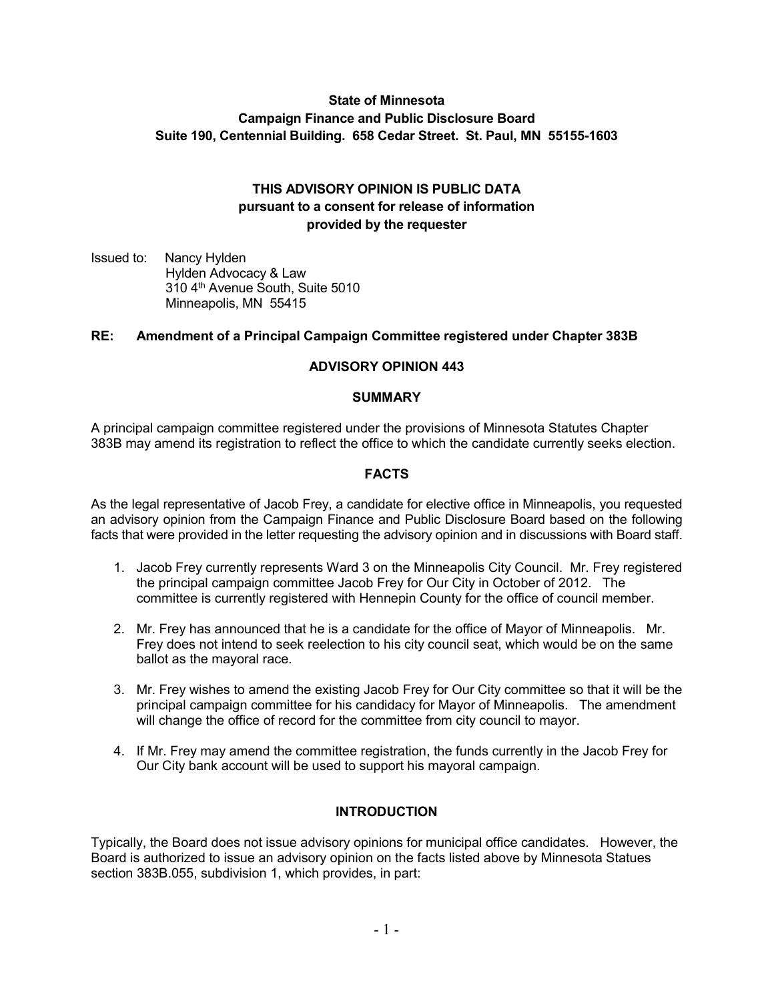## **State of Minnesota Campaign Finance and Public Disclosure Board Suite 190, Centennial Building. 658 Cedar Street. St. Paul, MN 55155-1603**

# **THIS ADVISORY OPINION IS PUBLIC DATA pursuant to a consent for release of information provided by the requester**

Issued to: Nancy Hylden Hylden Advocacy & Law 310 4th Avenue South, Suite 5010 Minneapolis, MN 55415

#### **RE: Amendment of a Principal Campaign Committee registered under Chapter 383B**

#### **ADVISORY OPINION 443**

#### **SUMMARY**

A principal campaign committee registered under the provisions of Minnesota Statutes Chapter 383B may amend its registration to reflect the office to which the candidate currently seeks election.

#### **FACTS**

As the legal representative of Jacob Frey, a candidate for elective office in Minneapolis, you requested an advisory opinion from the Campaign Finance and Public Disclosure Board based on the following facts that were provided in the letter requesting the advisory opinion and in discussions with Board staff.

- 1. Jacob Frey currently represents Ward 3 on the Minneapolis City Council. Mr. Frey registered the principal campaign committee Jacob Frey for Our City in October of 2012. The committee is currently registered with Hennepin County for the office of council member.
- 2. Mr. Frey has announced that he is a candidate for the office of Mayor of Minneapolis. Mr. Frey does not intend to seek reelection to his city council seat, which would be on the same ballot as the mayoral race.
- 3. Mr. Frey wishes to amend the existing Jacob Frey for Our City committee so that it will be the principal campaign committee for his candidacy for Mayor of Minneapolis. The amendment will change the office of record for the committee from city council to mayor.
- 4. If Mr. Frey may amend the committee registration, the funds currently in the Jacob Frey for Our City bank account will be used to support his mayoral campaign.

## **INTRODUCTION**

Typically, the Board does not issue advisory opinions for municipal office candidates. However, the Board is authorized to issue an advisory opinion on the facts listed above by Minnesota Statues section 383B.055, subdivision 1, which provides, in part: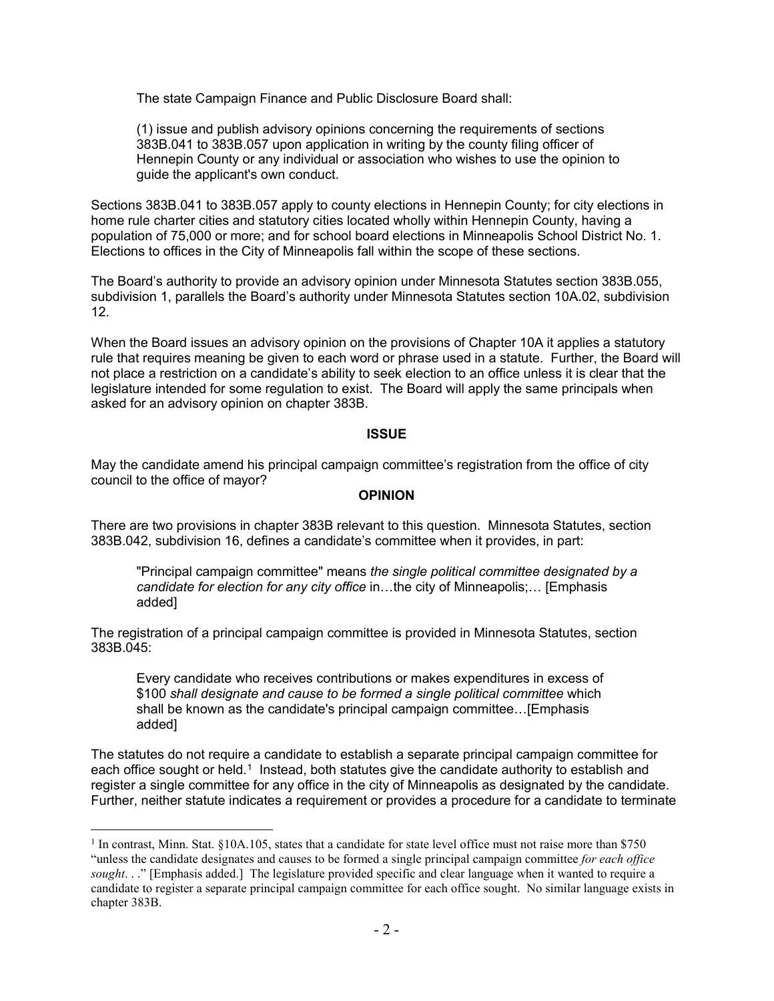The state Campaign Finance and Public Disclosure Board shall:

(1) issue and publish advisory opinions concerning the requirements of sections 383B.041 to 383B.057 upon application in writing by the county filing officer of Hennepin County or any individual or association who wishes to use the opinion to guide the applicant's own conduct.

Sections 383B.041 to 383B.057 apply to county elections in Hennepin County; for city elections in home rule charter cities and statutory cities located wholly within Hennepin County, having a population of 75,000 or more; and for school board elections in Minneapolis School District No. 1. Elections to offices in the City of Minneapolis fall within the scope of these sections.

The Board's authority to provide an advisory opinion under Minnesota Statutes section 383B.055, subdivision 1, parallels the Board's authority under Minnesota Statutes section 10A.02, subdivision 12.

When the Board issues an advisory opinion on the provisions of Chapter 10A it applies a statutory rule that requires meaning be given to each word or phrase used in a statute. Further, the Board will not place a restriction on a candidate's ability to seek election to an office unless it is clear that the legislature intended for some regulation to exist. The Board will apply the same principals when asked for an advisory opinion on chapter 383B.

## **ISSUE**

May the candidate amend his principal campaign committee's registration from the office of city council to the office of mayor?

## **OPINION**

There are two provisions in chapter 383B relevant to this question. Minnesota Statutes, section 383B.042, subdivision 16, defines a candidate's committee when it provides, in part:

"Principal campaign committee" means *the single political committee designated by a candidate for election for any city office* in…the city of Minneapolis;… [Emphasis added]

The registration of a principal campaign committee is provided in Minnesota Statutes, section 383B.045:

Every candidate who receives contributions or makes expenditures in excess of \$100 *shall designate and cause to be formed a single political committee* which shall be known as the candidate's principal campaign committee…[Emphasis added]

The statutes do not require a candidate to establish a separate principal campaign committee for each office sought or held.<sup>1</sup> Instead, both statutes give the candidate authority to establish and register a single committee for any office in the city of Minneapolis as designated by the candidate. Further, neither statute indicates a requirement or provides a procedure for a candidate to terminate

<span id="page-1-0"></span><sup>&</sup>lt;sup>1</sup> In contrast, Minn. Stat. §10A.105, states that a candidate for state level office must not raise more than \$750 "unless the candidate designates and causes to be formed a single principal campaign committee *for each office sought*. . ." [Emphasis added.] The legislature provided specific and clear language when it wanted to require a candidate to register a separate principal campaign committee for each office sought. No similar language exists in chapter 383B.